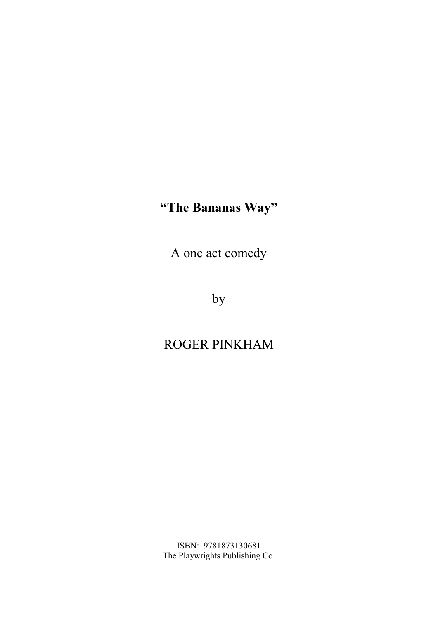# **"The Bananas Way"**

A one act comedy

by

## ROGER PINKHAM

ISBN: 9781873130681 The Playwrights Publishing Co.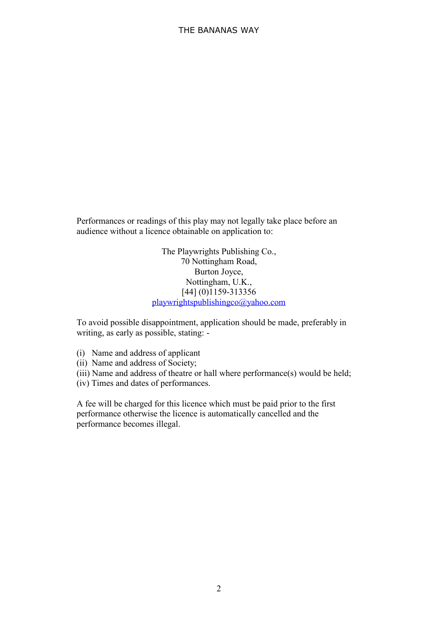Performances or readings of this play may not legally take place before an audience without a licence obtainable on application to:

> The Playwrights Publishing Co., 70 Nottingham Road, Burton Joyce, Nottingham, U.K., [44] (0)1159-313356 playwrightspublishingco@yahoo.com

To avoid possible disappointment, application should be made, preferably in writing, as early as possible, stating: -

- (i) Name and address of applicant
- (ii) Name and address of Society;
- (iii) Name and address of theatre or hall where performance(s) would be held;
- (iv) Times and dates of performances.

A fee will be charged for this licence which must be paid prior to the first performance otherwise the licence is automatically cancelled and the performance becomes illegal.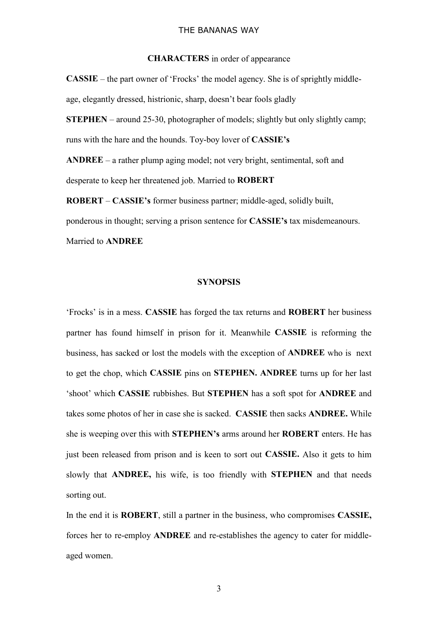#### THE BANANAS WAY

### **CHARACTERS** in order of appearance

**CASSIE** – the part owner of 'Frocks' the model agency. She is of sprightly middle age, elegantly dressed, histrionic, sharp, doesn't bear fools gladly

**STEPHEN** – around 25-30, photographer of models; slightly but only slightly camp; runs with the hare and the hounds. Toy-boy lover of **CASSIE's**

**ANDREE** – a rather plump aging model; not very bright, sentimental, soft and desperate to keep her threatened job. Married to **ROBERT**

**ROBERT** – **CASSIE's** former business partner; middle-aged, solidly built, ponderous in thought; serving a prison sentence for **CASSIE's** tax misdemeanours. Married to **ANDREE**

### **SYNOPSIS**

'Frocks' is in a mess. **CASSIE** has forged the tax returns and **ROBERT** her business partner has found himself in prison for it. Meanwhile **CASSIE** is reforming the business, has sacked or lost the models with the exception of **ANDREE** who is next to get the chop, which **CASSIE** pins on **STEPHEN. ANDREE** turns up for her last 'shoot' which **CASSIE** rubbishes. But **STEPHEN** has a soft spot for **ANDREE** and takes some photos of her in case she is sacked. **CASSIE** then sacks **ANDREE.** While she is weeping over this with **STEPHEN's** arms around her **ROBERT** enters. He has just been released from prison and is keen to sort out **CASSIE.** Also it gets to him slowly that **ANDREE,** his wife, is too friendly with **STEPHEN** and that needs sorting out.

In the end it is **ROBERT**, still a partner in the business, who compromises **CASSIE,** forces her to re-employ **ANDREE** and re-establishes the agency to cater for middle aged women.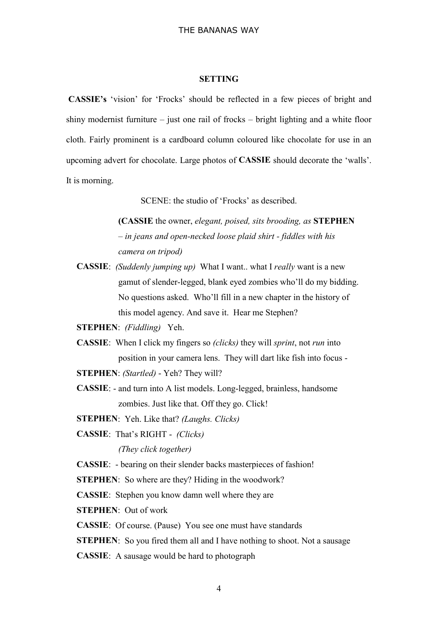### **SETTING**

 **CASSIE's** 'vision' for 'Frocks' should be reflected in a few pieces of bright and shiny modernist furniture – just one rail of frocks – bright lighting and a white floor cloth. Fairly prominent is a cardboard column coloured like chocolate for use in an upcoming advert for chocolate. Large photos of **CASSIE** should decorate the 'walls'. It is morning.

SCENE: the studio of 'Frocks' as described.

**(CASSIE** the owner, *elegant, poised, sits brooding, as* **STEPHEN** *– in jeans and open-necked loose plaid shirt - fiddles with his camera on tripod)*

**CASSIE**: *(Suddenly jumping up)* What I want.. what I *really* want is a new gamut of slender-legged, blank eyed zombies who'll do my bidding. No questions asked. Who'll fill in a new chapter in the history of this model agency. And save it. Hear me Stephen?

**STEPHEN**: *(Fiddling)* Yeh.

**CASSIE**: When I click my fingers so *(clicks)* they will *sprint*, not *run* into position in your camera lens. They will dart like fish into focus -

**STEPHEN**: *(Startled)* - Yeh? They will?

**CASSIE**: - and turn into A list models. Long-legged, brainless, handsome zombies. Just like that. Off they go. Click!

**STEPHEN**: Yeh. Like that? *(Laughs. Clicks)*

**CASSIE**: That's RIGHT - *(Clicks)*

*(They click together)*

**CASSIE**: - bearing on their slender backs masterpieces of fashion!

**STEPHEN:** So where are they? Hiding in the woodwork?

**CASSIE**: Stephen you know damn well where they are

**STEPHEN**: Out of work

**CASSIE**: Of course. (Pause) You see one must have standards

- **STEPHEN:** So you fired them all and I have nothing to shoot. Not a sausage
- **CASSIE**: A sausage would be hard to photograph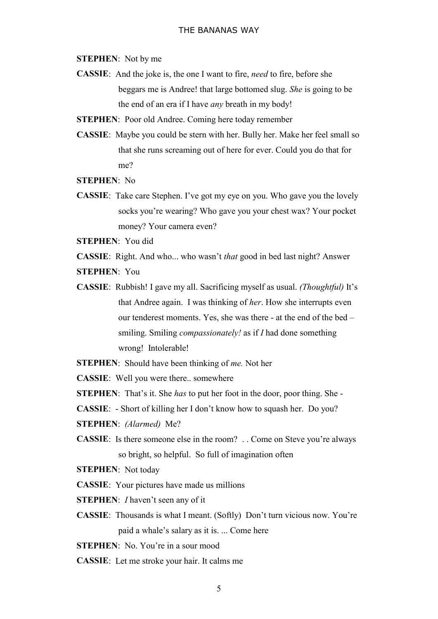**STEPHEN**: Not by me

**CASSIE**: And the joke is, the one I want to fire, *need* to fire, before she beggars me is Andree! that large bottomed slug. *She* is going to be the end of an era if I have *any* breath in my body!

**STEPHEN**: Poor old Andree. Coming here today remember

- **CASSIE**: Maybe you could be stern with her. Bully her. Make her feel small so that she runs screaming out of here for ever. Could you do that for me?
- **STEPHEN**: No
- **CASSIE**: Take care Stephen. I've got my eye on you. Who gave you the lovely socks you're wearing? Who gave you your chest wax? Your pocket money? Your camera even?

**STEPHEN**: You did

**CASSIE**: Right. And who... who wasn't *that* good in bed last night? Answer

**STEPHEN**: You

- **CASSIE**: Rubbish! I gave my all. Sacrificing myself as usual. *(Thoughtful)* It's that Andree again. I was thinking of *her*. How she interrupts even our tenderest moments. Yes, she was there - at the end of the bed – smiling. Smiling *compassionately!* as if *I* had done something wrong! Intolerable!
- **STEPHEN**: Should have been thinking of *me.* Not her

**CASSIE**: Well you were there.. somewhere

- **STEPHEN**: That's it. She *has* to put her foot in the door, poor thing. She -
- **CASSIE**: Short of killing her I don't know how to squash her. Do you?

**STEPHEN**: *(Alarmed)* Me?

**CASSIE**: Is there someone else in the room? . . Come on Steve you're always so bright, so helpful. So full of imagination often

**STEPHEN**: Not today

**CASSIE**: Your pictures have made us millions

**STEPHEN**: *I* haven't seen any of it

- **CASSIE**: Thousands is what I meant. (Softly) Don't turn vicious now. You're paid a whale's salary as it is. ... Come here
- **STEPHEN**: No. You're in a sour mood

**CASSIE**: Let me stroke your hair. It calms me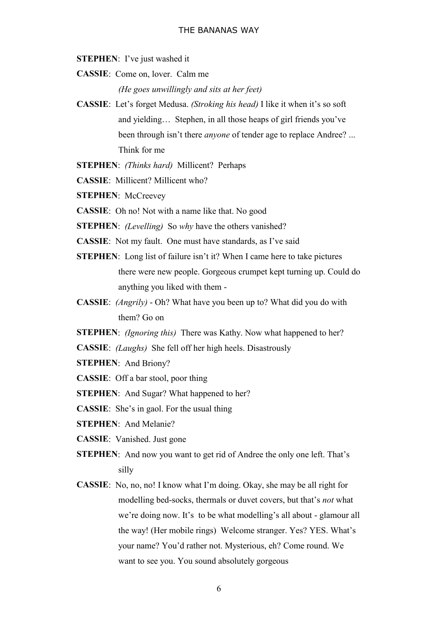**STEPHEN**: I've just washed it

**CASSIE**: Come on, lover. Calm me

*(He goes unwillingly and sits at her feet)*

- **CASSIE**: Let's forget Medusa. *(Stroking his head)* I like it when it's so soft and yielding… Stephen, in all those heaps of girl friends you've been through isn't there *anyone* of tender age to replace Andree? ... Think for me
- **STEPHEN**: *(Thinks hard)* Millicent? Perhaps
- **CASSIE**: Millicent? Millicent who?
- **STEPHEN**: McCreevey
- **CASSIE**: Oh no! Not with a name like that. No good
- **STEPHEN**: *(Levelling)* So *why* have the others vanished?
- **CASSIE**: Not my fault. One must have standards, as I've said
- **STEPHEN:** Long list of failure isn't it? When I came here to take pictures there were new people. Gorgeous crumpet kept turning up. Could do anything you liked with them -
- **CASSIE**: *(Angrily)* Oh? What have you been up to? What did you do with them? Go on
- **STEPHEN**: *(Ignoring this)* There was Kathy. Now what happened to her?
- **CASSIE**: *(Laughs)* She fell off her high heels. Disastrously
- **STEPHEN**: And Briony?
- **CASSIE**: Off a bar stool, poor thing
- **STEPHEN:** And Sugar? What happened to her?
- **CASSIE**: She's in gaol. For the usual thing
- **STEPHEN**: And Melanie?
- **CASSIE**: Vanished. Just gone
- **STEPHEN:** And now you want to get rid of Andree the only one left. That's silly
- **CASSIE**: No, no, no! I know what I'm doing. Okay, she may be all right for modelling bed-socks, thermals or duvet covers, but that's *not* what we're doing now. It's to be what modelling's all about - glamour all the way! (Her mobile rings) Welcome stranger. Yes? YES. What's your name? You'd rather not. Mysterious, eh? Come round. We want to see you. You sound absolutely gorgeous